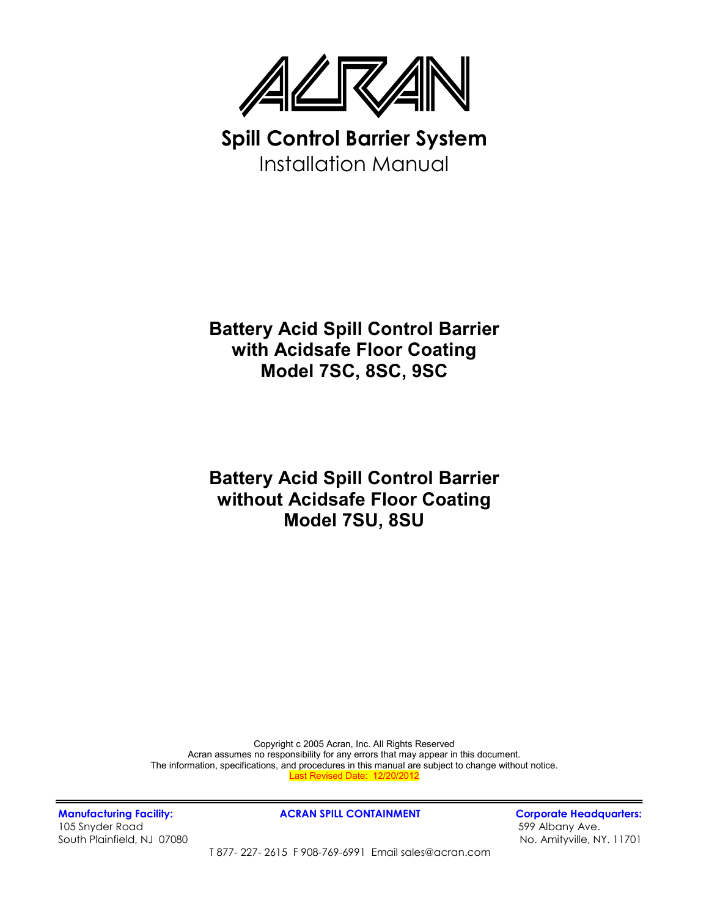

**Spill Control Barrier System**  Installation Manual

## **Battery Acid Spill Control Barrier with Acidsafe Floor Coating Model 7SC, 8SC, 9SC**

## **Battery Acid Spill Control Barrier without Acidsafe Floor Coating Model 7SU, 8SU**

Copyright c 2005 Acran, Inc. All Rights Reserved Acran assumes no responsibility for any errors that may appear in this document. The information, specifications, and procedures in this manual are subject to change without notice. Last Revised Date: 12/20/2012

105 Snyder Road 599 Albany Ave. South Plainfield, NJ 07080 No. Amityville, NY. 11701

Manufacturing Facility: **ACRAN SPILL CONTAINMENT** Corporate Headquarters:

T 877- 227- 2615 F 908-769-6991 Email sales@acran.com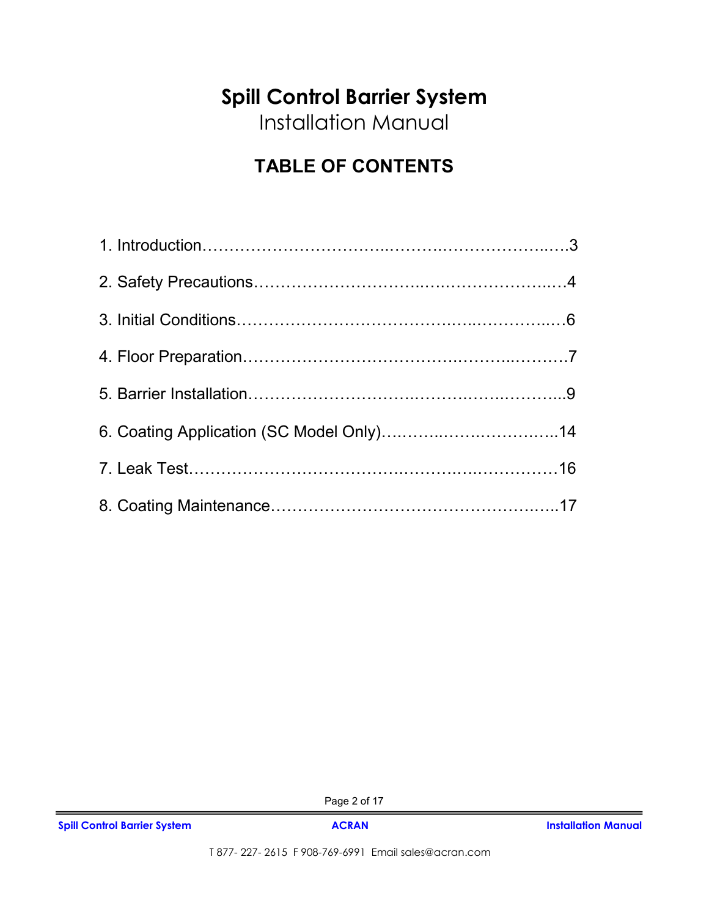# **Spill Control Barrier System**

Installation Manual

# **TABLE OF CONTENTS**

Page 2 of 17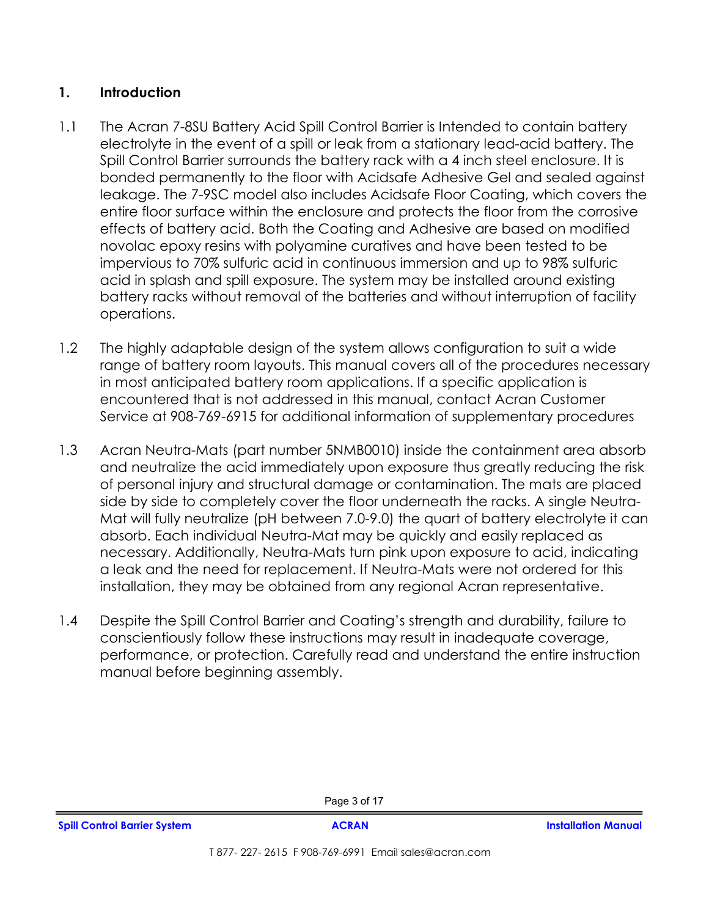## **1. Introduction**

- 1.1 The Acran 7-8SU Battery Acid Spill Control Barrier is Intended to contain battery electrolyte in the event of a spill or leak from a stationary lead-acid battery. The Spill Control Barrier surrounds the battery rack with a 4 inch steel enclosure. It is bonded permanently to the floor with Acidsafe Adhesive Gel and sealed against leakage. The 7-9SC model also includes Acidsafe Floor Coating, which covers the entire floor surface within the enclosure and protects the floor from the corrosive effects of battery acid. Both the Coating and Adhesive are based on modified novolac epoxy resins with polyamine curatives and have been tested to be impervious to 70% sulfuric acid in continuous immersion and up to 98% sulfuric acid in splash and spill exposure. The system may be installed around existing battery racks without removal of the batteries and without interruption of facility operations.
- 1.2 The highly adaptable design of the system allows configuration to suit a wide range of battery room layouts. This manual covers all of the procedures necessary in most anticipated battery room applications. If a specific application is encountered that is not addressed in this manual, contact Acran Customer Service at 908-769-6915 for additional information of supplementary procedures
- 1.3 Acran Neutra-Mats (part number 5NMB0010) inside the containment area absorb and neutralize the acid immediately upon exposure thus greatly reducing the risk of personal injury and structural damage or contamination. The mats are placed side by side to completely cover the floor underneath the racks. A single Neutra-Mat will fully neutralize (pH between 7.0-9.0) the quart of battery electrolyte it can absorb. Each individual Neutra-Mat may be quickly and easily replaced as necessary. Additionally, Neutra-Mats turn pink upon exposure to acid, indicating a leak and the need for replacement. If Neutra-Mats were not ordered for this installation, they may be obtained from any regional Acran representative.
- 1.4 Despite the Spill Control Barrier and Coating's strength and durability, failure to conscientiously follow these instructions may result in inadequate coverage, performance, or protection. Carefully read and understand the entire instruction manual before beginning assembly.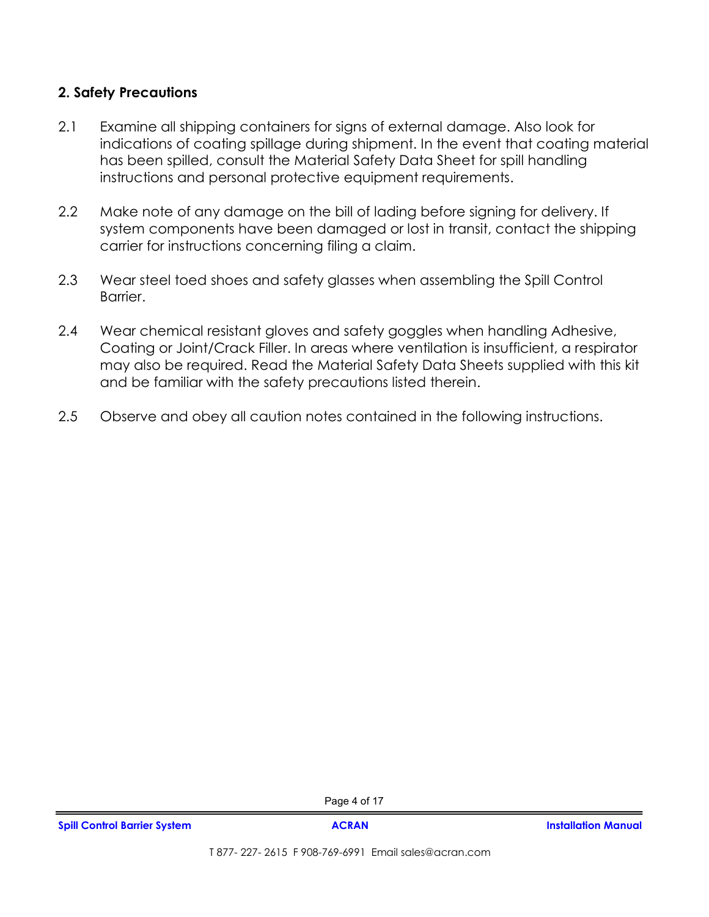## **2. Safety Precautions**

- 2.1 Examine all shipping containers for signs of external damage. Also look for indications of coating spillage during shipment. In the event that coating material has been spilled, consult the Material Safety Data Sheet for spill handling instructions and personal protective equipment requirements.
- 2.2 Make note of any damage on the bill of lading before signing for delivery. If system components have been damaged or lost in transit, contact the shipping carrier for instructions concerning filing a claim.
- 2.3 Wear steel toed shoes and safety glasses when assembling the Spill Control Barrier.
- 2.4 Wear chemical resistant gloves and safety goggles when handling Adhesive, Coating or Joint/Crack Filler. In areas where ventilation is insufficient, a respirator may also be required. Read the Material Safety Data Sheets supplied with this kit and be familiar with the safety precautions listed therein.
- 2.5 Observe and obey all caution notes contained in the following instructions.

Page 4 of 17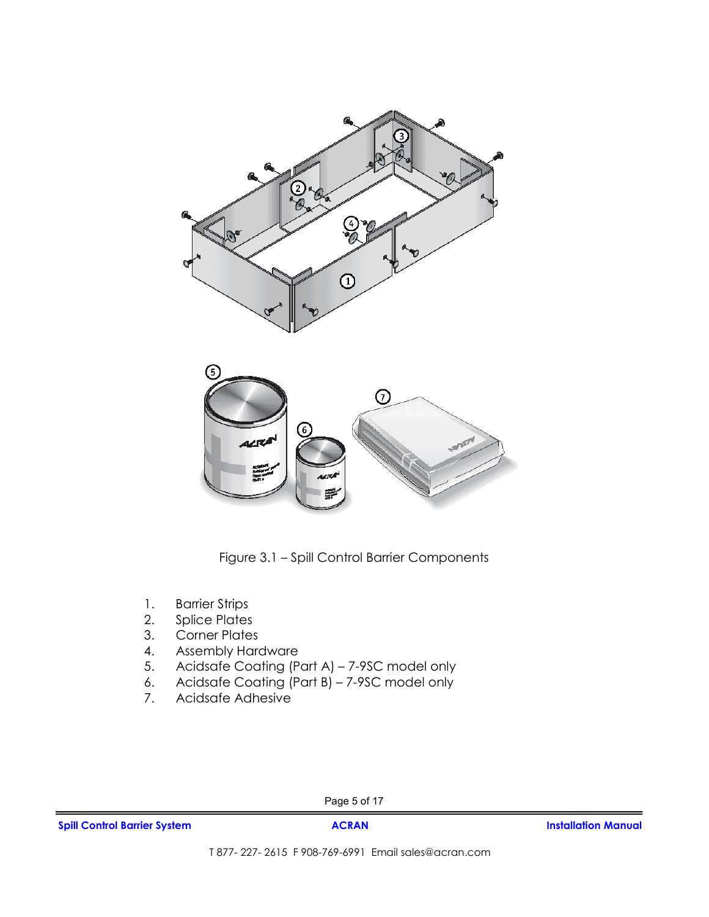



Figure 3.1 – Spill Control Barrier Components

- 1. Barrier Strips<br>2. Splice Plates
- Splice Plates
- 3. Corner Plates
- 4. Assembly Hardware<br>5. Acidsafe Coating (P
- 5. Acidsafe Coating (Part A) 7-9SC model only
- 6. Acidsafe Coating (Part B) 7-9SC model only
- 7. Acidsafe Adhesive

Page 5 of 17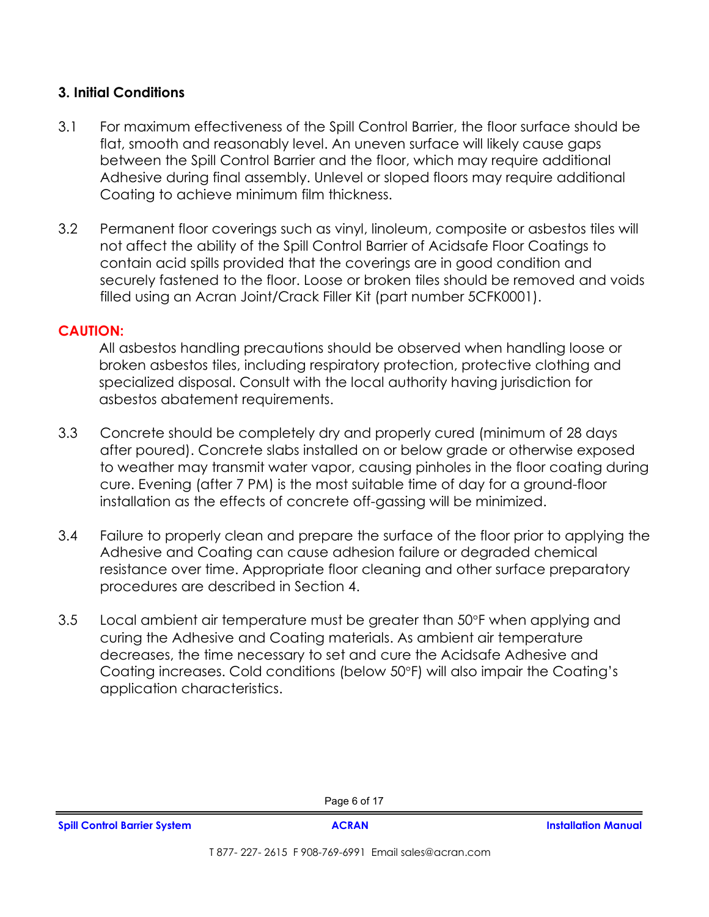## **3. Initial Conditions**

- 3.1 For maximum effectiveness of the Spill Control Barrier, the floor surface should be flat, smooth and reasonably level. An uneven surface will likely cause gaps between the Spill Control Barrier and the floor, which may require additional Adhesive during final assembly. Unlevel or sloped floors may require additional Coating to achieve minimum film thickness.
- 3.2 Permanent floor coverings such as vinyl, linoleum, composite or asbestos tiles will not affect the ability of the Spill Control Barrier of Acidsafe Floor Coatings to contain acid spills provided that the coverings are in good condition and securely fastened to the floor. Loose or broken tiles should be removed and voids filled using an Acran Joint/Crack Filler Kit (part number 5CFK0001).

#### **CAUTION:**

 All asbestos handling precautions should be observed when handling loose or broken asbestos tiles, including respiratory protection, protective clothing and specialized disposal. Consult with the local authority having jurisdiction for asbestos abatement requirements.

- 3.3 Concrete should be completely dry and properly cured (minimum of 28 days after poured). Concrete slabs installed on or below grade or otherwise exposed to weather may transmit water vapor, causing pinholes in the floor coating during cure. Evening (after 7 PM) is the most suitable time of day for a ground-floor installation as the effects of concrete off-gassing will be minimized.
- 3.4 Failure to properly clean and prepare the surface of the floor prior to applying the Adhesive and Coating can cause adhesion failure or degraded chemical resistance over time. Appropriate floor cleaning and other surface preparatory procedures are described in Section 4.
- 3.5 Local ambient air temperature must be greater than 50°F when applying and curing the Adhesive and Coating materials. As ambient air temperature decreases, the time necessary to set and cure the Acidsafe Adhesive and Coating increases. Cold conditions (below 50°F) will also impair the Coating's application characteristics.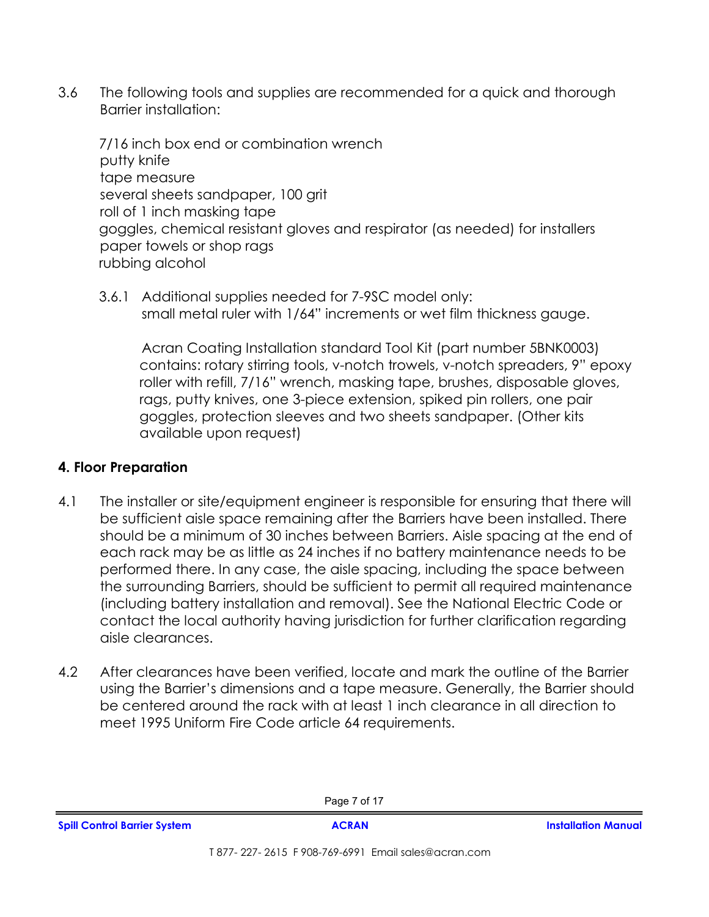3.6 The following tools and supplies are recommended for a quick and thorough Barrier installation:

 7/16 inch box end or combination wrench putty knife tape measure several sheets sandpaper, 100 grit roll of 1 inch masking tape goggles, chemical resistant gloves and respirator (as needed) for installers paper towels or shop rags rubbing alcohol

3.6.1 Additional supplies needed for 7-9SC model only: small metal ruler with 1/64" increments or wet film thickness gauge.

 Acran Coating Installation standard Tool Kit (part number 5BNK0003) contains: rotary stirring tools, v-notch trowels, v-notch spreaders, 9" epoxy roller with refill, 7/16" wrench, masking tape, brushes, disposable gloves, rags, putty knives, one 3-piece extension, spiked pin rollers, one pair goggles, protection sleeves and two sheets sandpaper. (Other kits available upon request)

## **4. Floor Preparation**

- 4.1 The installer or site/equipment engineer is responsible for ensuring that there will be sufficient aisle space remaining after the Barriers have been installed. There should be a minimum of 30 inches between Barriers. Aisle spacing at the end of each rack may be as little as 24 inches if no battery maintenance needs to be performed there. In any case, the aisle spacing, including the space between the surrounding Barriers, should be sufficient to permit all required maintenance (including battery installation and removal). See the National Electric Code or contact the local authority having jurisdiction for further clarification regarding aisle clearances.
- 4.2 After clearances have been verified, locate and mark the outline of the Barrier using the Barrier's dimensions and a tape measure. Generally, the Barrier should be centered around the rack with at least 1 inch clearance in all direction to meet 1995 Uniform Fire Code article 64 requirements.

Page 7 of 17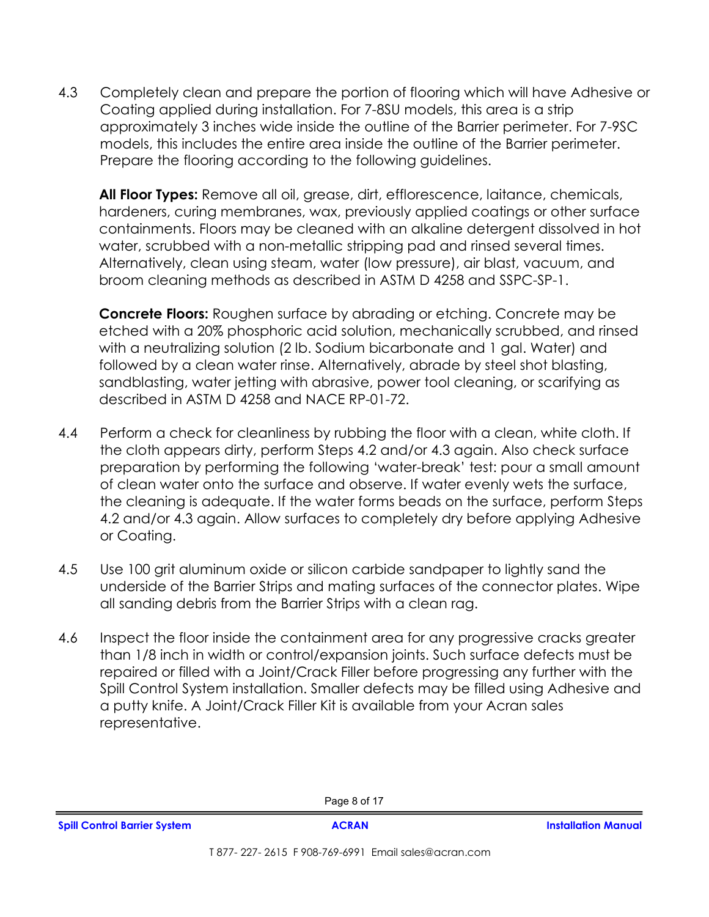4.3 Completely clean and prepare the portion of flooring which will have Adhesive or Coating applied during installation. For 7-8SU models, this area is a strip approximately 3 inches wide inside the outline of the Barrier perimeter. For 7-9SC models, this includes the entire area inside the outline of the Barrier perimeter. Prepare the flooring according to the following guidelines.

**All Floor Types:** Remove all oil, grease, dirt, efflorescence, laitance, chemicals, hardeners, curing membranes, wax, previously applied coatings or other surface containments. Floors may be cleaned with an alkaline detergent dissolved in hot water, scrubbed with a non-metallic stripping pad and rinsed several times. Alternatively, clean using steam, water (low pressure), air blast, vacuum, and broom cleaning methods as described in ASTM D 4258 and SSPC-SP-1.

**Concrete Floors:** Roughen surface by abrading or etching. Concrete may be etched with a 20% phosphoric acid solution, mechanically scrubbed, and rinsed with a neutralizing solution (2 lb. Sodium bicarbonate and 1 gal. Water) and followed by a clean water rinse. Alternatively, abrade by steel shot blasting, sandblasting, water jetting with abrasive, power tool cleaning, or scarifying as described in ASTM D 4258 and NACE RP-01-72.

- 4.4 Perform a check for cleanliness by rubbing the floor with a clean, white cloth. If the cloth appears dirty, perform Steps 4.2 and/or 4.3 again. Also check surface preparation by performing the following 'water-break' test: pour a small amount of clean water onto the surface and observe. If water evenly wets the surface, the cleaning is adequate. If the water forms beads on the surface, perform Steps 4.2 and/or 4.3 again. Allow surfaces to completely dry before applying Adhesive or Coating.
- 4.5 Use 100 grit aluminum oxide or silicon carbide sandpaper to lightly sand the underside of the Barrier Strips and mating surfaces of the connector plates. Wipe all sanding debris from the Barrier Strips with a clean rag.
- 4.6 Inspect the floor inside the containment area for any progressive cracks greater than 1/8 inch in width or control/expansion joints. Such surface defects must be repaired or filled with a Joint/Crack Filler before progressing any further with the Spill Control System installation. Smaller defects may be filled using Adhesive and a putty knife. A Joint/Crack Filler Kit is available from your Acran sales representative.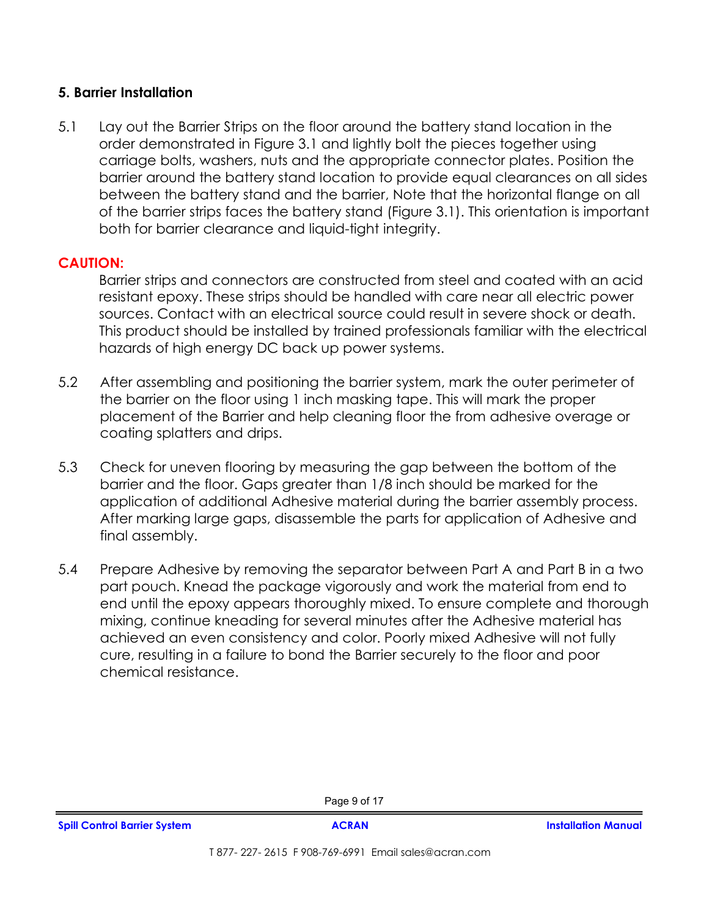### **5. Barrier Installation**

5.1 Lay out the Barrier Strips on the floor around the battery stand location in the order demonstrated in Figure 3.1 and lightly bolt the pieces together using carriage bolts, washers, nuts and the appropriate connector plates. Position the barrier around the battery stand location to provide equal clearances on all sides between the battery stand and the barrier, Note that the horizontal flange on all of the barrier strips faces the battery stand (Figure 3.1). This orientation is important both for barrier clearance and liquid-tight integrity.

### **CAUTION:**

 Barrier strips and connectors are constructed from steel and coated with an acid resistant epoxy. These strips should be handled with care near all electric power sources. Contact with an electrical source could result in severe shock or death. This product should be installed by trained professionals familiar with the electrical hazards of high energy DC back up power systems.

- 5.2 After assembling and positioning the barrier system, mark the outer perimeter of the barrier on the floor using 1 inch masking tape. This will mark the proper placement of the Barrier and help cleaning floor the from adhesive overage or coating splatters and drips.
- 5.3 Check for uneven flooring by measuring the gap between the bottom of the barrier and the floor. Gaps greater than 1/8 inch should be marked for the application of additional Adhesive material during the barrier assembly process. After marking large gaps, disassemble the parts for application of Adhesive and final assembly.
- 5.4 Prepare Adhesive by removing the separator between Part A and Part B in a two part pouch. Knead the package vigorously and work the material from end to end until the epoxy appears thoroughly mixed. To ensure complete and thorough mixing, continue kneading for several minutes after the Adhesive material has achieved an even consistency and color. Poorly mixed Adhesive will not fully cure, resulting in a failure to bond the Barrier securely to the floor and poor chemical resistance.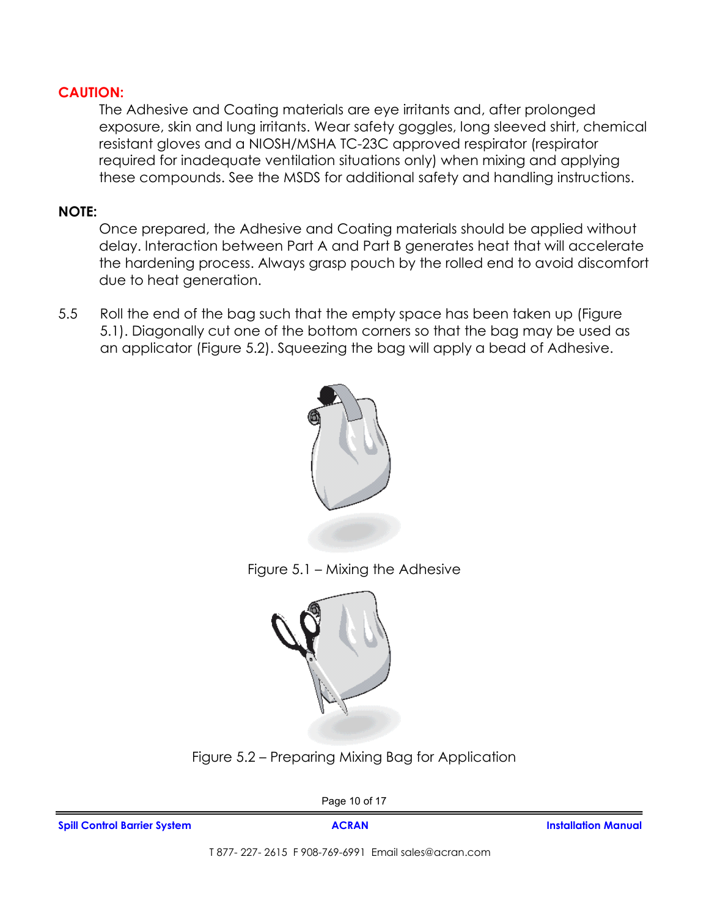## **CAUTION:**

 The Adhesive and Coating materials are eye irritants and, after prolonged exposure, skin and lung irritants. Wear safety goggles, long sleeved shirt, chemical resistant gloves and a NIOSH/MSHA TC-23C approved respirator (respirator required for inadequate ventilation situations only) when mixing and applying these compounds. See the MSDS for additional safety and handling instructions.

## **NOTE:**

 Once prepared, the Adhesive and Coating materials should be applied without delay. Interaction between Part A and Part B generates heat that will accelerate the hardening process. Always grasp pouch by the rolled end to avoid discomfort due to heat generation.

5.5 Roll the end of the bag such that the empty space has been taken up (Figure 5.1). Diagonally cut one of the bottom corners so that the bag may be used as an applicator (Figure 5.2). Squeezing the bag will apply a bead of Adhesive.









Page 10 of 17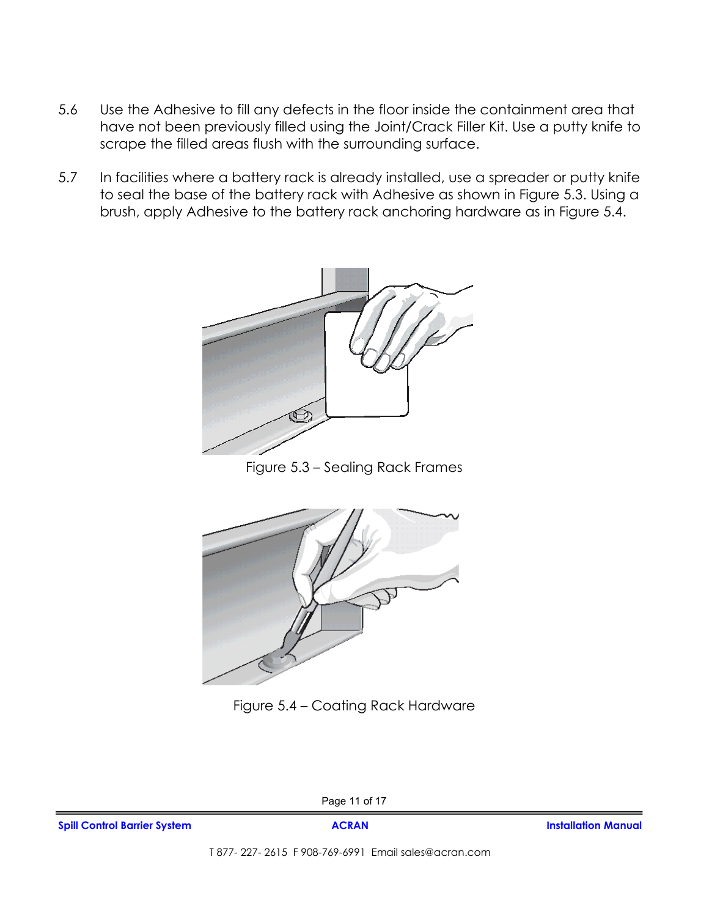- 5.6 Use the Adhesive to fill any defects in the floor inside the containment area that have not been previously filled using the Joint/Crack Filler Kit. Use a putty knife to scrape the filled areas flush with the surrounding surface.
- 5.7 In facilities where a battery rack is already installed, use a spreader or putty knife to seal the base of the battery rack with Adhesive as shown in Figure 5.3. Using a brush, apply Adhesive to the battery rack anchoring hardware as in Figure 5.4.



Figure 5.3 – Sealing Rack Frames



Figure 5.4 – Coating Rack Hardware

Page 11 of 17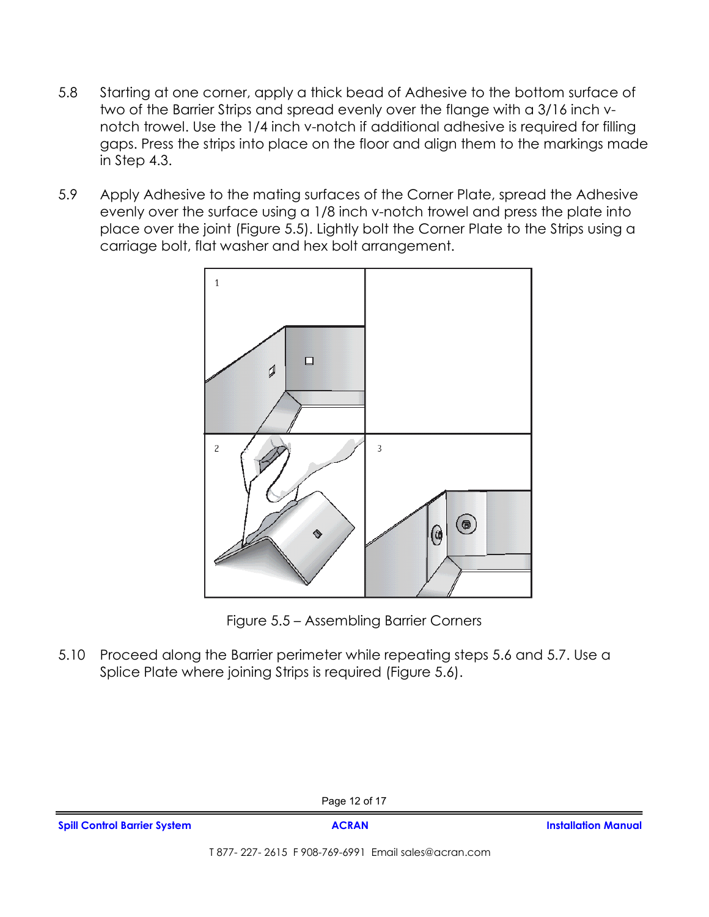- 5.8 Starting at one corner, apply a thick bead of Adhesive to the bottom surface of two of the Barrier Strips and spread evenly over the flange with a 3/16 inch vnotch trowel. Use the 1/4 inch v-notch if additional adhesive is required for filling gaps. Press the strips into place on the floor and align them to the markings made in Step 4.3.
- 5.9 Apply Adhesive to the mating surfaces of the Corner Plate, spread the Adhesive evenly over the surface using a 1/8 inch v-notch trowel and press the plate into place over the joint (Figure 5.5). Lightly bolt the Corner Plate to the Strips using a carriage bolt, flat washer and hex bolt arrangement.



Figure 5.5 – Assembling Barrier Corners

5.10 Proceed along the Barrier perimeter while repeating steps 5.6 and 5.7. Use a Splice Plate where joining Strips is required (Figure 5.6).

Page 12 of 17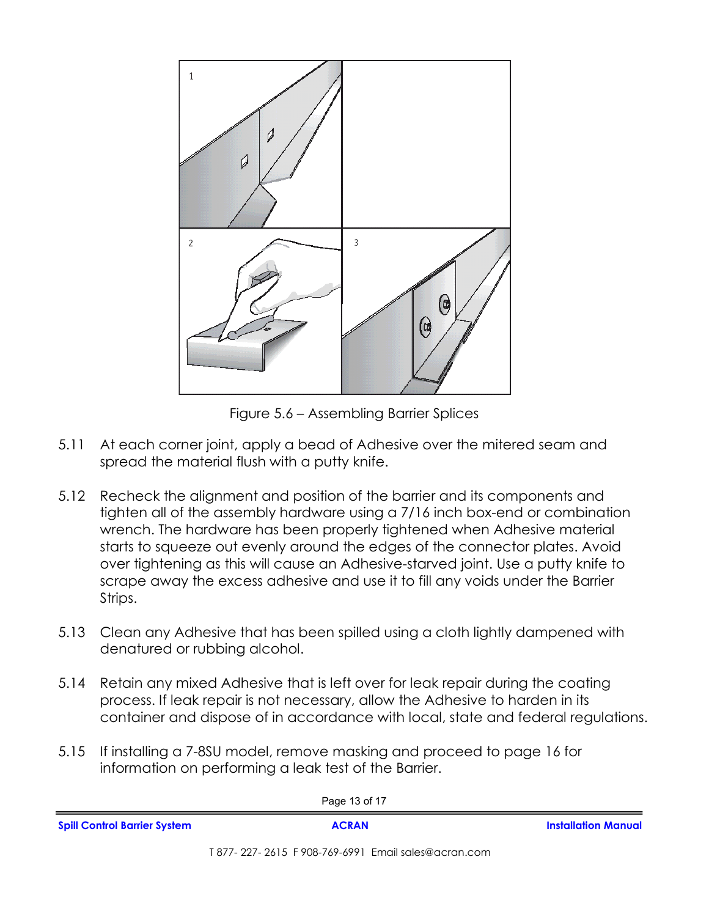

Figure 5.6 – Assembling Barrier Splices

- 5.11 At each corner joint, apply a bead of Adhesive over the mitered seam and spread the material flush with a putty knife.
- 5.12 Recheck the alignment and position of the barrier and its components and tighten all of the assembly hardware using a 7/16 inch box-end or combination wrench. The hardware has been properly tightened when Adhesive material starts to squeeze out evenly around the edges of the connector plates. Avoid over tightening as this will cause an Adhesive-starved joint. Use a putty knife to scrape away the excess adhesive and use it to fill any voids under the Barrier Strips.
- 5.13 Clean any Adhesive that has been spilled using a cloth lightly dampened with denatured or rubbing alcohol.
- 5.14 Retain any mixed Adhesive that is left over for leak repair during the coating process. If leak repair is not necessary, allow the Adhesive to harden in its container and dispose of in accordance with local, state and federal regulations.
- 5.15 If installing a 7-8SU model, remove masking and proceed to page 16 for information on performing a leak test of the Barrier.

| Page 13 of 17                       |                                                     |                            |  |
|-------------------------------------|-----------------------------------------------------|----------------------------|--|
| <b>Spill Control Barrier System</b> | <b>ACRAN</b>                                        | <b>Installation Manual</b> |  |
|                                     | T 877-227-2615 F 908-769-6991 Email sales@acran.com |                            |  |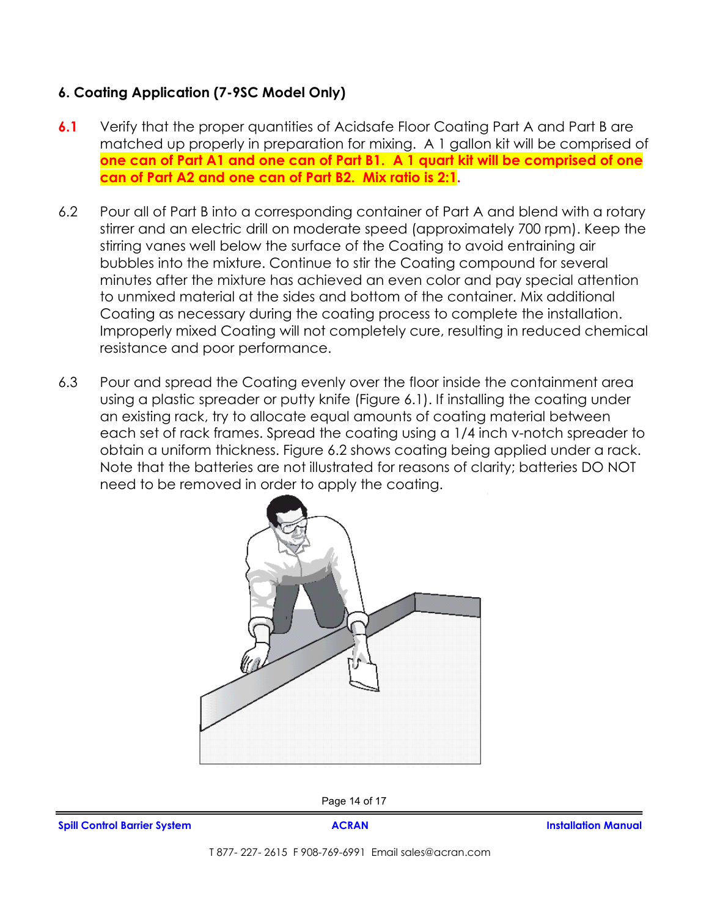## **6. Coating Application (7-9SC Model Only)**

- **6.1** Verify that the proper quantities of Acidsafe Floor Coating Part A and Part B are matched up properly in preparation for mixing. A 1 gallon kit will be comprised of **one can of Part A1 and one can of Part B1. A 1 quart kit will be comprised of one can of Part A2 and one can of Part B2. Mix ratio is 2:1.**
- 6.2 Pour all of Part B into a corresponding container of Part A and blend with a rotary stirrer and an electric drill on moderate speed (approximately 700 rpm). Keep the stirring vanes well below the surface of the Coating to avoid entraining air bubbles into the mixture. Continue to stir the Coating compound for several minutes after the mixture has achieved an even color and pay special attention to unmixed material at the sides and bottom of the container. Mix additional Coating as necessary during the coating process to complete the installation. Improperly mixed Coating will not completely cure, resulting in reduced chemical resistance and poor performance.
- 6.3 Pour and spread the Coating evenly over the floor inside the containment area using a plastic spreader or putty knife (Figure 6.1). If installing the coating under an existing rack, try to allocate equal amounts of coating material between each set of rack frames. Spread the coating using a 1/4 inch v-notch spreader to obtain a uniform thickness. Figure 6.2 shows coating being applied under a rack. Note that the batteries are not illustrated for reasons of clarity; batteries DO NOT need to be removed in order to apply the coating.



Page 14 of 17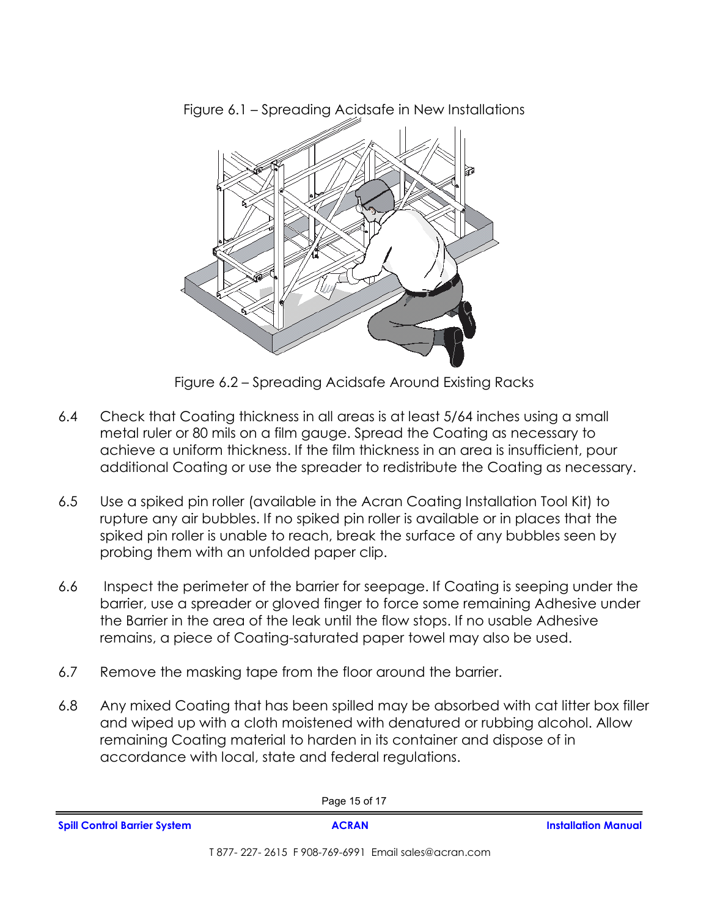

Figure 6.1 – Spreading Acidsafe in New Installations

Figure 6.2 – Spreading Acidsafe Around Existing Racks

- 6.4 Check that Coating thickness in all areas is at least 5/64 inches using a small metal ruler or 80 mils on a film gauge. Spread the Coating as necessary to achieve a uniform thickness. If the film thickness in an area is insufficient, pour additional Coating or use the spreader to redistribute the Coating as necessary.
- 6.5 Use a spiked pin roller (available in the Acran Coating Installation Tool Kit) to rupture any air bubbles. If no spiked pin roller is available or in places that the spiked pin roller is unable to reach, break the surface of any bubbles seen by probing them with an unfolded paper clip.
- 6.6 Inspect the perimeter of the barrier for seepage. If Coating is seeping under the barrier, use a spreader or gloved finger to force some remaining Adhesive under the Barrier in the area of the leak until the flow stops. If no usable Adhesive remains, a piece of Coating-saturated paper towel may also be used.
- 6.7 Remove the masking tape from the floor around the barrier.
- 6.8 Any mixed Coating that has been spilled may be absorbed with cat litter box filler and wiped up with a cloth moistened with denatured or rubbing alcohol. Allow remaining Coating material to harden in its container and dispose of in accordance with local, state and federal regulations.

| Page 15 of 17                       |              |                            |  |
|-------------------------------------|--------------|----------------------------|--|
| <b>Spill Control Barrier System</b> | <b>ACRAN</b> | <b>Installation Manual</b> |  |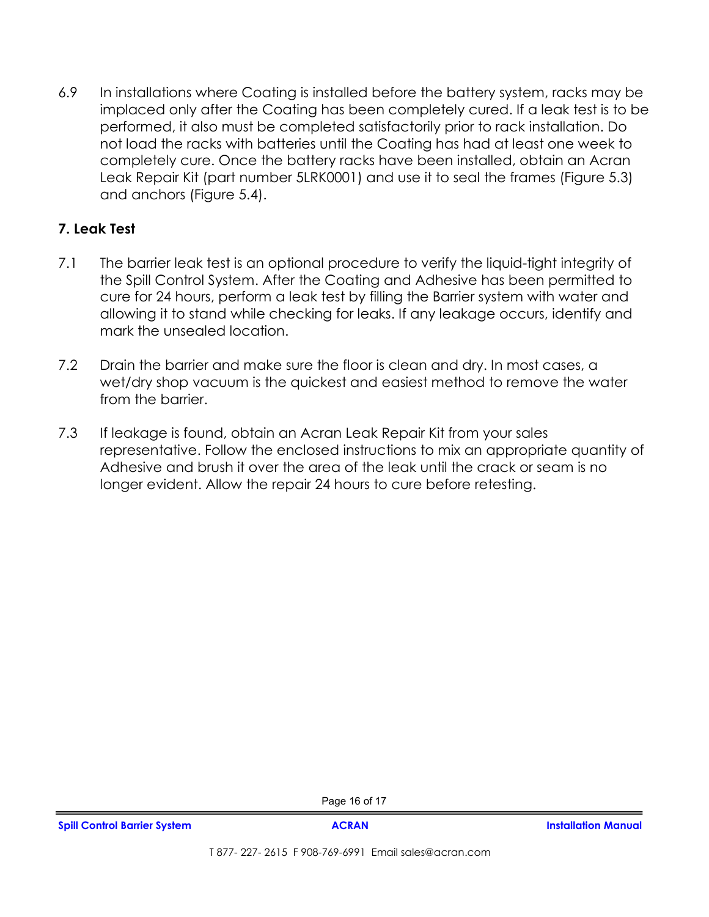6.9 In installations where Coating is installed before the battery system, racks may be implaced only after the Coating has been completely cured. If a leak test is to be performed, it also must be completed satisfactorily prior to rack installation. Do not load the racks with batteries until the Coating has had at least one week to completely cure. Once the battery racks have been installed, obtain an Acran Leak Repair Kit (part number 5LRK0001) and use it to seal the frames (Figure 5.3) and anchors (Figure 5.4).

## **7. Leak Test**

- 7.1 The barrier leak test is an optional procedure to verify the liquid-tight integrity of the Spill Control System. After the Coating and Adhesive has been permitted to cure for 24 hours, perform a leak test by filling the Barrier system with water and allowing it to stand while checking for leaks. If any leakage occurs, identify and mark the unsealed location.
- 7.2 Drain the barrier and make sure the floor is clean and dry. In most cases, a wet/dry shop vacuum is the quickest and easiest method to remove the water from the barrier.
- 7.3 If leakage is found, obtain an Acran Leak Repair Kit from your sales representative. Follow the enclosed instructions to mix an appropriate quantity of Adhesive and brush it over the area of the leak until the crack or seam is no longer evident. Allow the repair 24 hours to cure before retesting.